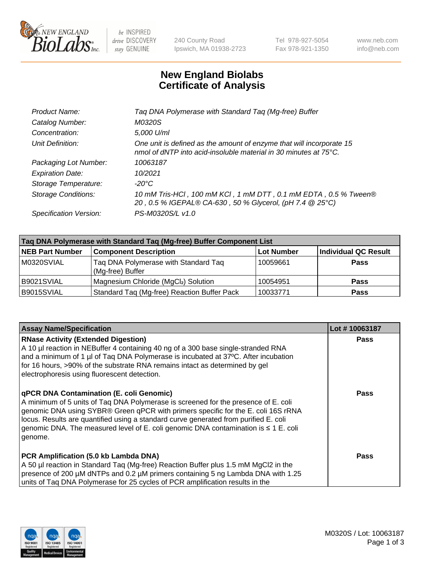

 $be$  INSPIRED drive DISCOVERY stay GENUINE

240 County Road Ipswich, MA 01938-2723 Tel 978-927-5054 Fax 978-921-1350 www.neb.com info@neb.com

## **New England Biolabs Certificate of Analysis**

| Tag DNA Polymerase with Standard Tag (Mg-free) Buffer                                                                                    |
|------------------------------------------------------------------------------------------------------------------------------------------|
| M0320S                                                                                                                                   |
| 5,000 U/ml                                                                                                                               |
| One unit is defined as the amount of enzyme that will incorporate 15<br>nmol of dNTP into acid-insoluble material in 30 minutes at 75°C. |
| 10063187                                                                                                                                 |
| 10/2021                                                                                                                                  |
| $-20^{\circ}$ C                                                                                                                          |
| 10 mM Tris-HCl, 100 mM KCl, 1 mM DTT, 0.1 mM EDTA, 0.5 % Tween®<br>20, 0.5 % IGEPAL® CA-630, 50 % Glycerol, (pH 7.4 @ 25°C)              |
| PS-M0320S/L v1.0                                                                                                                         |
|                                                                                                                                          |

| Taq DNA Polymerase with Standard Taq (Mg-free) Buffer Component List |                                                          |                   |                             |  |  |
|----------------------------------------------------------------------|----------------------------------------------------------|-------------------|-----------------------------|--|--|
| <b>NEB Part Number</b>                                               | <b>Component Description</b>                             | <b>Lot Number</b> | <b>Individual QC Result</b> |  |  |
| M0320SVIAL                                                           | Tag DNA Polymerase with Standard Tag<br>(Mg-free) Buffer | 10059661          | <b>Pass</b>                 |  |  |
| B9021SVIAL                                                           | Magnesium Chloride (MgCl2) Solution                      | 10054951          | <b>Pass</b>                 |  |  |
| B9015SVIAL                                                           | Standard Taq (Mg-free) Reaction Buffer Pack              | 10033771          | <b>Pass</b>                 |  |  |

| <b>Assay Name/Specification</b>                                                                                                                                                                                                                                                                                                                                                                                           | Lot #10063187 |
|---------------------------------------------------------------------------------------------------------------------------------------------------------------------------------------------------------------------------------------------------------------------------------------------------------------------------------------------------------------------------------------------------------------------------|---------------|
| <b>RNase Activity (Extended Digestion)</b><br>A 10 µl reaction in NEBuffer 4 containing 40 ng of a 300 base single-stranded RNA<br>and a minimum of 1 µl of Taq DNA Polymerase is incubated at 37°C. After incubation<br>for 16 hours, >90% of the substrate RNA remains intact as determined by gel<br>electrophoresis using fluorescent detection.                                                                      | <b>Pass</b>   |
| <b>qPCR DNA Contamination (E. coli Genomic)</b><br>A minimum of 5 units of Tag DNA Polymerase is screened for the presence of E. coli<br>genomic DNA using SYBR® Green qPCR with primers specific for the E. coli 16S rRNA<br>locus. Results are quantified using a standard curve generated from purified E. coli<br>genomic DNA. The measured level of E. coli genomic DNA contamination is $\leq 1$ E. coli<br>genome. | Pass          |
| PCR Amplification (5.0 kb Lambda DNA)<br>A 50 µl reaction in Standard Taq (Mg-free) Reaction Buffer plus 1.5 mM MgCl2 in the<br>presence of 200 µM dNTPs and 0.2 µM primers containing 5 ng Lambda DNA with 1.25<br>units of Taq DNA Polymerase for 25 cycles of PCR amplification results in the                                                                                                                         | Pass          |

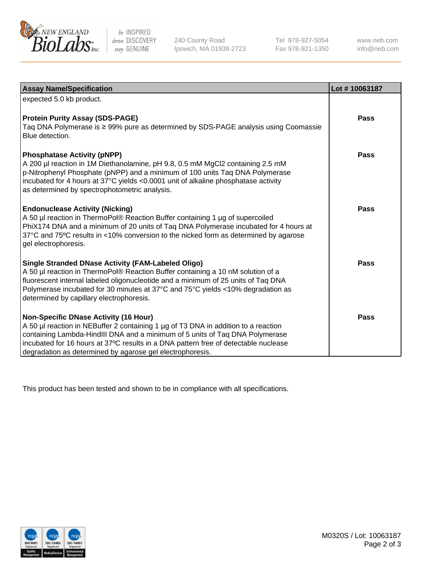

 $be$  INSPIRED drive DISCOVERY stay GENUINE

240 County Road Ipswich, MA 01938-2723 Tel 978-927-5054 Fax 978-921-1350 www.neb.com info@neb.com

| <b>Assay Name/Specification</b>                                                                                                                                                                                                                                                                                                                                  | Lot #10063187 |
|------------------------------------------------------------------------------------------------------------------------------------------------------------------------------------------------------------------------------------------------------------------------------------------------------------------------------------------------------------------|---------------|
| expected 5.0 kb product.                                                                                                                                                                                                                                                                                                                                         |               |
| <b>Protein Purity Assay (SDS-PAGE)</b><br>Taq DNA Polymerase is ≥ 99% pure as determined by SDS-PAGE analysis using Coomassie<br>Blue detection.                                                                                                                                                                                                                 | <b>Pass</b>   |
| <b>Phosphatase Activity (pNPP)</b><br>A 200 µl reaction in 1M Diethanolamine, pH 9.8, 0.5 mM MgCl2 containing 2.5 mM<br>p-Nitrophenyl Phosphate (pNPP) and a minimum of 100 units Taq DNA Polymerase<br>incubated for 4 hours at 37°C yields <0.0001 unit of alkaline phosphatase activity<br>as determined by spectrophotometric analysis.                      | Pass          |
| <b>Endonuclease Activity (Nicking)</b><br>A 50 µl reaction in ThermoPol® Reaction Buffer containing 1 µg of supercoiled<br>PhiX174 DNA and a minimum of 20 units of Taq DNA Polymerase incubated for 4 hours at<br>37°C and 75°C results in <10% conversion to the nicked form as determined by agarose<br>gel electrophoresis.                                  | Pass          |
| <b>Single Stranded DNase Activity (FAM-Labeled Oligo)</b><br>A 50 µl reaction in ThermoPol® Reaction Buffer containing a 10 nM solution of a<br>fluorescent internal labeled oligonucleotide and a minimum of 25 units of Taq DNA<br>Polymerase incubated for 30 minutes at 37°C and 75°C yields <10% degradation as<br>determined by capillary electrophoresis. | Pass          |
| Non-Specific DNase Activity (16 Hour)<br>A 50 µl reaction in NEBuffer 2 containing 1 µg of T3 DNA in addition to a reaction<br>containing Lambda-HindIII DNA and a minimum of 5 units of Taq DNA Polymerase<br>incubated for 16 hours at 37°C results in a DNA pattern free of detectable nuclease<br>degradation as determined by agarose gel electrophoresis.  | <b>Pass</b>   |

This product has been tested and shown to be in compliance with all specifications.